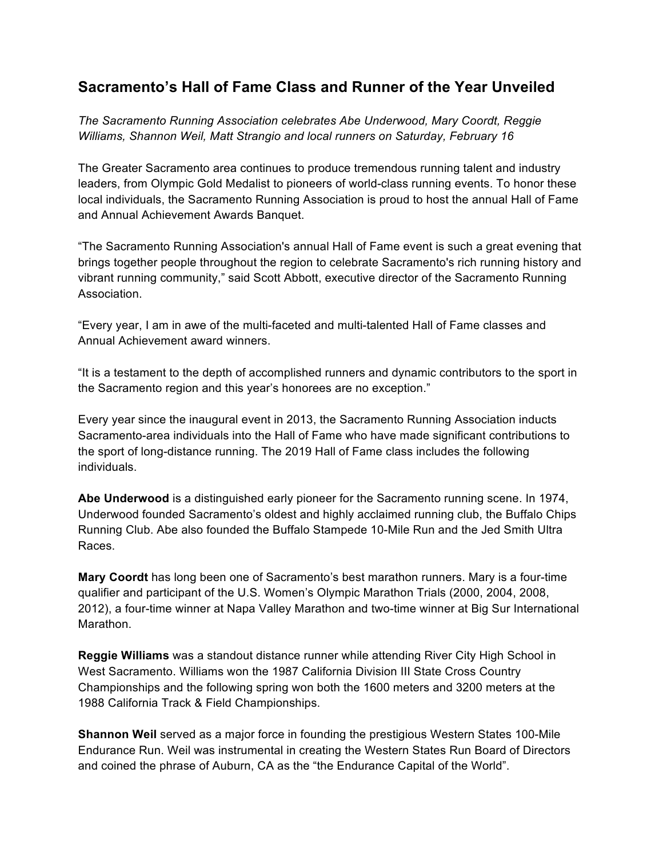# **Sacramento's Hall of Fame Class and Runner of the Year Unveiled**

*The Sacramento Running Association celebrates Abe Underwood, Mary Coordt, Reggie Williams, Shannon Weil, Matt Strangio and local runners on Saturday, February 16*

The Greater Sacramento area continues to produce tremendous running talent and industry leaders, from Olympic Gold Medalist to pioneers of world-class running events. To honor these local individuals, the Sacramento Running Association is proud to host the annual Hall of Fame and Annual Achievement Awards Banquet.

"The Sacramento Running Association's annual Hall of Fame event is such a great evening that brings together people throughout the region to celebrate Sacramento's rich running history and vibrant running community," said Scott Abbott, executive director of the Sacramento Running Association.

"Every year, I am in awe of the multi-faceted and multi-talented Hall of Fame classes and Annual Achievement award winners.

"It is a testament to the depth of accomplished runners and dynamic contributors to the sport in the Sacramento region and this year's honorees are no exception."

Every year since the inaugural event in 2013, the Sacramento Running Association inducts Sacramento-area individuals into the Hall of Fame who have made significant contributions to the sport of long-distance running. The 2019 Hall of Fame class includes the following individuals.

**Abe Underwood** is a distinguished early pioneer for the Sacramento running scene. In 1974, Underwood founded Sacramento's oldest and highly acclaimed running club, the Buffalo Chips Running Club. Abe also founded the Buffalo Stampede 10-Mile Run and the Jed Smith Ultra Races.

**Mary Coordt** has long been one of Sacramento's best marathon runners. Mary is a four-time qualifier and participant of the U.S. Women's Olympic Marathon Trials (2000, 2004, 2008, 2012), a four-time winner at Napa Valley Marathon and two-time winner at Big Sur International Marathon.

**Reggie Williams** was a standout distance runner while attending River City High School in West Sacramento. Williams won the 1987 California Division III State Cross Country Championships and the following spring won both the 1600 meters and 3200 meters at the 1988 California Track & Field Championships.

**Shannon Weil** served as a major force in founding the prestigious Western States 100-Mile Endurance Run. Weil was instrumental in creating the Western States Run Board of Directors and coined the phrase of Auburn, CA as the "the Endurance Capital of the World".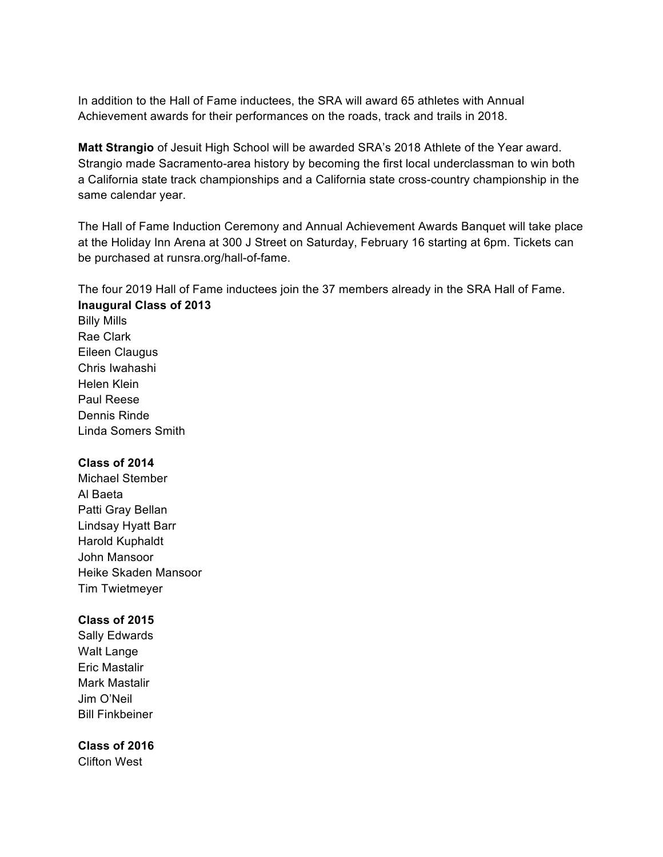In addition to the Hall of Fame inductees, the SRA will award 65 athletes with Annual Achievement awards for their performances on the roads, track and trails in 2018.

**Matt Strangio** of Jesuit High School will be awarded SRA's 2018 Athlete of the Year award. Strangio made Sacramento-area history by becoming the first local underclassman to win both a California state track championships and a California state cross-country championship in the same calendar year.

The Hall of Fame Induction Ceremony and Annual Achievement Awards Banquet will take place at the Holiday Inn Arena at 300 J Street on Saturday, February 16 starting at 6pm. Tickets can be purchased at runsra.org/hall-of-fame.

The four 2019 Hall of Fame inductees join the 37 members already in the SRA Hall of Fame. **Inaugural Class of 2013**

Billy Mills Rae Clark Eileen Claugus Chris Iwahashi Helen Klein Paul Reese Dennis Rinde Linda Somers Smith

#### **Class of 2014**

Michael Stember Al Baeta Patti Gray Bellan Lindsay Hyatt Barr Harold Kuphaldt John Mansoor Heike Skaden Mansoor Tim Twietmeyer

### **Class of 2015**

Sally Edwards Walt Lange Eric Mastalir Mark Mastalir Jim O'Neil Bill Finkbeiner

### **Class of 2016**

Clifton West